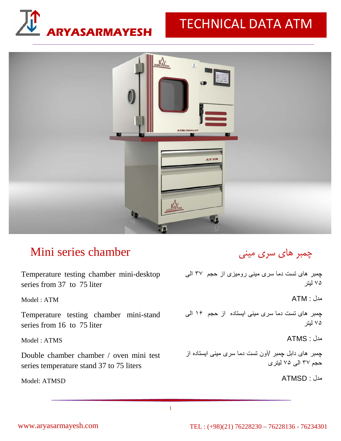# **ARYASARMAYESH** TECHNICAL DATA ATM



## Mini series chamber

Temperature testing chamber mini-desktop چمبر های تست دما سری مينی روميزی از حجم ٣٧ الی series from 37 to 75 liter

Model : ATM

Temperature testing chamber mini-stand series from 16 to 75 liter

Model : ATMS

Double chamber chamber / oven mini test series temperature stand 37 to 75 liters

Model: ATMSD

## چمبر هاي سري ميني

٧۵ ليتر

مدل : ATM

چمبر های تست دما سری مينی ايستاده از حجم ١۶ الی ٧۵ ليتر

مدل : ATMS

چمبر های دابل چمبر /آون تست دما سری مينی ايستاده از حجم ٣٧ الی ٧۵ ليتری

مدل : ATMSD